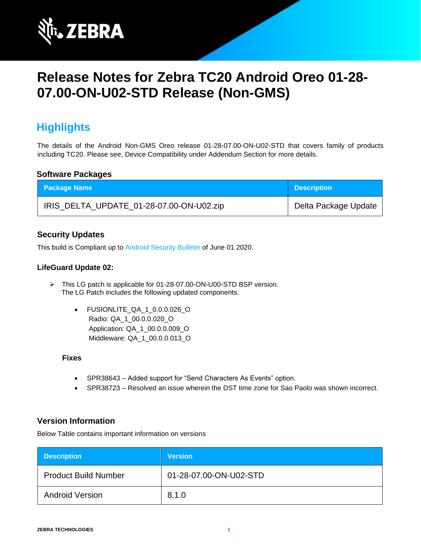

# **Release Notes for Zebra TC20 Android Oreo 01-28- 07.00-ON-U02-STD Release (Non-GMS)**

# **Highlights**

The details of the Android Non-GMS Oreo release 01-28-07.00-ON-U02-STD that covers family of products including TC20. Please see, Device Compatibility under Addendum Section for more details.

### **Software Packages**

| <b>Package Name</b>                      | <b>Description</b>   |
|------------------------------------------|----------------------|
| IRIS_DELTA_UPDATE_01-28-07.00-ON-U02.zip | Delta Package Update |

### **Security Updates**

This build is Compliant up to [Android Security Bulletin](https://source.android.com/security/bulletin/) of June 01 2020.

### **LifeGuard Update 02:**

- ➢ This LG patch is applicable for 01-28-07.00-ON-U00-STD BSP version. The LG Patch includes the following updated components.
	- FUSIONLITE\_QA\_1\_0.0.0.026\_O Radio: QA\_1\_00.0.0.020\_O Application: QA\_1\_00.0.0.009\_O Middleware: QA\_1\_00.0.0.013\_O

#### **Fixes**

- SPR38643 Added support for "Send Characters As Events" option.
- SPR38723 Resolved an issue wherein the DST time zone for Sao Paolo was shown incorrect.

### **Version Information**

Below Table contains important information on versions

| <b>Description</b>          | <b>Version</b>         |
|-----------------------------|------------------------|
| <b>Product Build Number</b> | 01-28-07.00-ON-U02-STD |
| <b>Android Version</b>      | 8.1.0                  |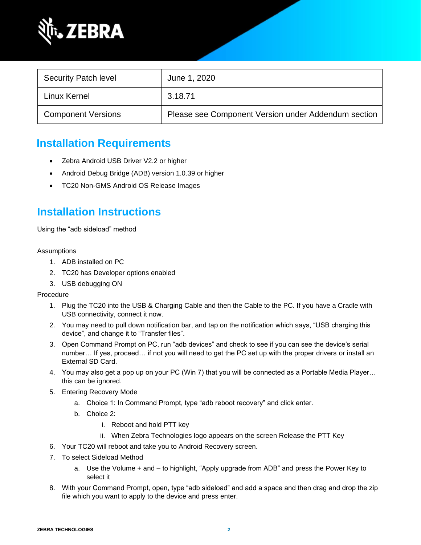

| <b>Security Patch level</b> | June 1, 2020                                        |
|-----------------------------|-----------------------------------------------------|
| Linux Kernel                | 3.18.71                                             |
| <b>Component Versions</b>   | Please see Component Version under Addendum section |

# **Installation Requirements**

- Zebra Android USB Driver V2.2 or higher
- Android Debug Bridge (ADB) version 1.0.39 or higher
- TC20 Non-GMS Android OS Release Images

# **Installation Instructions**

Using the "adb sideload" method

#### Assumptions

- 1. ADB installed on PC
- 2. TC20 has Developer options enabled
- 3. USB debugging ON

Procedure

- 1. Plug the TC20 into the USB & Charging Cable and then the Cable to the PC. If you have a Cradle with USB connectivity, connect it now.
- 2. You may need to pull down notification bar, and tap on the notification which says, "USB charging this device", and change it to "Transfer files".
- 3. Open Command Prompt on PC, run "adb devices" and check to see if you can see the device's serial number… If yes, proceed… if not you will need to get the PC set up with the proper drivers or install an External SD Card.
- 4. You may also get a pop up on your PC (Win 7) that you will be connected as a Portable Media Player… this can be ignored.
- 5. Entering Recovery Mode
	- a. Choice 1: In Command Prompt, type "adb reboot recovery" and click enter.
	- b. Choice 2:
		- i. Reboot and hold PTT key
		- ii. When Zebra Technologies logo appears on the screen Release the PTT Key
- 6. Your TC20 will reboot and take you to Android Recovery screen.
- 7. To select Sideload Method
	- a. Use the Volume + and to highlight, "Apply upgrade from ADB" and press the Power Key to select it
- 8. With your Command Prompt, open, type "adb sideload" and add a space and then drag and drop the zip file which you want to apply to the device and press enter.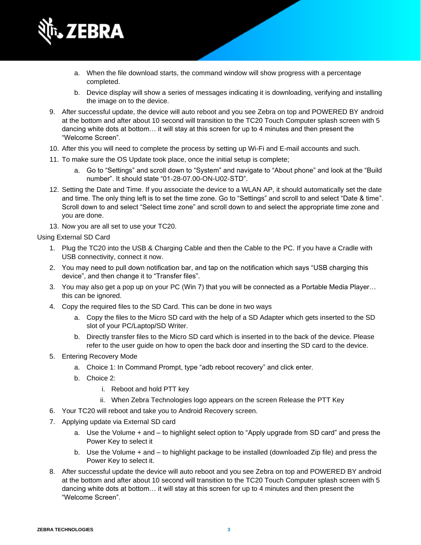

- a. When the file download starts, the command window will show progress with a percentage completed.
- b. Device display will show a series of messages indicating it is downloading, verifying and installing the image on to the device.
- 9. After successful update, the device will auto reboot and you see Zebra on top and POWERED BY android at the bottom and after about 10 second will transition to the TC20 Touch Computer splash screen with 5 dancing white dots at bottom… it will stay at this screen for up to 4 minutes and then present the "Welcome Screen".
- 10. After this you will need to complete the process by setting up Wi-Fi and E-mail accounts and such.
- 11. To make sure the OS Update took place, once the initial setup is complete;
	- a. Go to "Settings" and scroll down to "System" and navigate to "About phone" and look at the "Build number". It should state "01-28-07.00-ON-U02-STD".
- 12. Setting the Date and Time. If you associate the device to a WLAN AP, it should automatically set the date and time. The only thing left is to set the time zone. Go to "Settings" and scroll to and select "Date & time". Scroll down to and select "Select time zone" and scroll down to and select the appropriate time zone and you are done.
- 13. Now you are all set to use your TC20.

Using External SD Card

- 1. Plug the TC20 into the USB & Charging Cable and then the Cable to the PC. If you have a Cradle with USB connectivity, connect it now.
- 2. You may need to pull down notification bar, and tap on the notification which says "USB charging this device", and then change it to "Transfer files".
- 3. You may also get a pop up on your PC (Win 7) that you will be connected as a Portable Media Player… this can be ignored.
- 4. Copy the required files to the SD Card. This can be done in two ways
	- a. Copy the files to the Micro SD card with the help of a SD Adapter which gets inserted to the SD slot of your PC/Laptop/SD Writer.
	- b. Directly transfer files to the Micro SD card which is inserted in to the back of the device. Please refer to the user guide on how to open the back door and inserting the SD card to the device.
- 5. Entering Recovery Mode
	- a. Choice 1: In Command Prompt, type "adb reboot recovery" and click enter.
	- b. Choice 2:
		- i. Reboot and hold PTT key
		- ii. When Zebra Technologies logo appears on the screen Release the PTT Key
- 6. Your TC20 will reboot and take you to Android Recovery screen.
- 7. Applying update via External SD card
	- a. Use the Volume + and to highlight select option to "Apply upgrade from SD card" and press the Power Key to select it
	- b. Use the Volume + and to highlight package to be installed (downloaded Zip file) and press the Power Key to select it.
- 8. After successful update the device will auto reboot and you see Zebra on top and POWERED BY android at the bottom and after about 10 second will transition to the TC20 Touch Computer splash screen with 5 dancing white dots at bottom… it will stay at this screen for up to 4 minutes and then present the "Welcome Screen".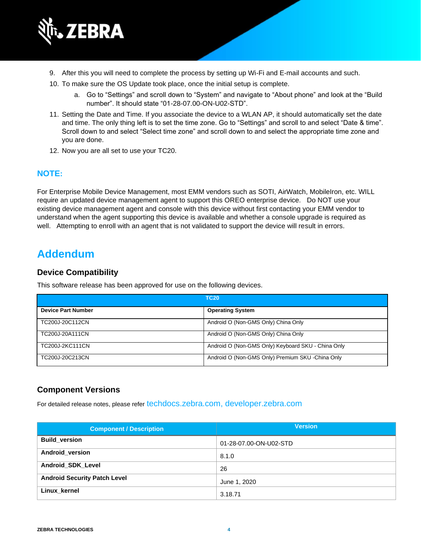

- 9. After this you will need to complete the process by setting up Wi-Fi and E-mail accounts and such.
- 10. To make sure the OS Update took place, once the initial setup is complete.
	- a. Go to "Settings" and scroll down to "System" and navigate to "About phone" and look at the "Build number". It should state "01-28-07.00-ON-U02-STD".
- 11. Setting the Date and Time. If you associate the device to a WLAN AP, it should automatically set the date and time. The only thing left is to set the time zone. Go to "Settings" and scroll to and select "Date & time". Scroll down to and select "Select time zone" and scroll down to and select the appropriate time zone and you are done.
- 12. Now you are all set to use your TC20.

### **NOTE:**

For Enterprise Mobile Device Management, most EMM vendors such as SOTI, AirWatch, MobileIron, etc. WILL require an updated device management agent to support this OREO enterprise device. Do NOT use your existing device management agent and console with this device without first contacting your EMM vendor to understand when the agent supporting this device is available and whether a console upgrade is required as well. Attempting to enroll with an agent that is not validated to support the device will result in errors.

### **Addendum**

#### **Device Compatibility**

This software release has been approved for use on the following devices.

| <b>TC20</b>               |                                                    |
|---------------------------|----------------------------------------------------|
| <b>Device Part Number</b> | <b>Operating System</b>                            |
| TC200J-20C112CN           | Android O (Non-GMS Only) China Only                |
| TC200J-20A111CN           | Android O (Non-GMS Only) China Only                |
| TC200J-2KC111CN           | Android O (Non-GMS Only) Keyboard SKU - China Only |
| TC200J-20C213CN           | Android O (Non-GMS Only) Premium SKU -China Only   |

### **Component Versions**

For detailed release notes, please refer [techdocs.zebra.com,](https://techdocs.zebra.com/) [developer.zebra.com](https://developer.zebra.com/)

| <b>Component / Description</b>      | <b>Version</b>         |
|-------------------------------------|------------------------|
| <b>Build version</b>                | 01-28-07.00-ON-U02-STD |
| Android version                     | 8.1.0                  |
| <b>Android SDK Level</b>            | 26                     |
| <b>Android Security Patch Level</b> | June 1, 2020           |
| Linux kernel                        | 3.18.71                |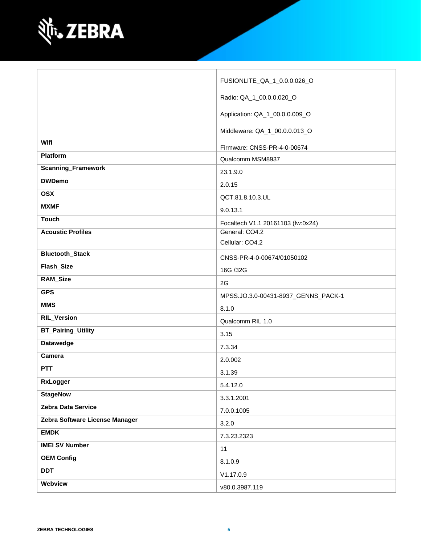

|                                | FUSIONLITE_QA_1_0.0.0.026_O         |
|--------------------------------|-------------------------------------|
|                                | Radio: QA_1_00.0.0.020_O            |
|                                | Application: QA_1_00.0.0.009_O      |
|                                | Middleware: QA_1_00.0.0.013_O       |
| Wifi                           | Firmware: CNSS-PR-4-0-00674         |
| Platform                       | Qualcomm MSM8937                    |
| <b>Scanning_Framework</b>      | 23.1.9.0                            |
| <b>DWDemo</b>                  | 2.0.15                              |
| <b>OSX</b>                     | QCT.81.8.10.3.UL                    |
| <b>MXMF</b>                    | 9.0.13.1                            |
| <b>Touch</b>                   | Focaltech V1.1 20161103 (fw:0x24)   |
| <b>Acoustic Profiles</b>       | General: CO4.2                      |
|                                | Cellular: CO4.2                     |
| <b>Bluetooth_Stack</b>         | CNSS-PR-4-0-00674/01050102          |
| Flash_Size                     | 16G /32G                            |
| RAM_Size                       | 2G                                  |
| <b>GPS</b>                     | MPSS.JO.3.0-00431-8937_GENNS_PACK-1 |
| <b>MMS</b>                     | 8.1.0                               |
| <b>RIL_Version</b>             | Qualcomm RIL 1.0                    |
| <b>BT_Pairing_Utility</b>      | 3.15                                |
| <b>Datawedge</b>               | 7.3.34                              |
| Camera                         | 2.0.002                             |
| <b>PTT</b>                     | 3.1.39                              |
| <b>RxLogger</b>                | 5.4.12.0                            |
| <b>StageNow</b>                | 3.3.1.2001                          |
| Zebra Data Service             | 7.0.0.1005                          |
| Zebra Software License Manager | 3.2.0                               |
| <b>EMDK</b>                    | 7.3.23.2323                         |
| <b>IMEI SV Number</b>          | 11                                  |
| <b>OEM Config</b>              | 8.1.0.9                             |
| <b>DDT</b>                     | V1.17.0.9                           |
| Webview                        | v80.0.3987.119                      |